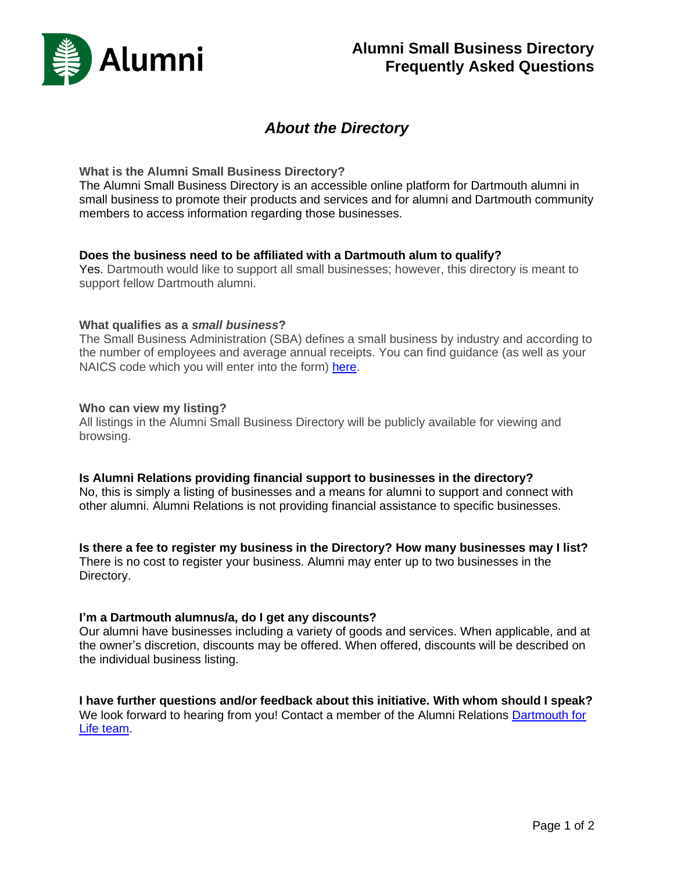

# *About the Directory*

#### **What is the Alumni Small Business Directory?**

The Alumni Small Business Directory is an accessible online platform for Dartmouth alumni in small business to promote their products and services and for alumni and Dartmouth community members to access information regarding those businesses.

#### **Does the business need to be affiliated with a Dartmouth alum to qualify?**

Yes. Dartmouth would like to support all small businesses; however, this directory is meant to support fellow Dartmouth alumni.

#### **What qualifies as a** *small business***?**

The Small Business Administration (SBA) defines a small business by industry and according to the number of employees and average annual receipts. You can find guidance (as well as your NAICS code which you will enter into the form) [here.](https://adminlb.imodules.com/s/1353/images/gid15/editor_documents/dartmouth_for_life/future_of_work/small_business/size_standards_table.pdf?sessionid=8ea4aa55-01a5-474d-8971-0787df3034ab&cc=1)

### **Who can view my listing?**

All listings in the Alumni Small Business Directory will be publicly available for viewing and browsing.

## **Is Alumni Relations providing financial support to businesses in the directory?**

No, this is simply a listing of businesses and a means for alumni to support and connect with other alumni. Alumni Relations is not providing financial assistance to specific businesses.

## **Is there a fee to register my business in the Directory? How many businesses may I list?**

There is no cost to register your business. Alumni may enter up to two businesses in the Directory.

## **I'm a Dartmouth alumnus/a, do I get any discounts?**

Our alumni have businesses including a variety of goods and services. When applicable, and at the owner's discretion, discounts may be offered. When offered, discounts will be described on the individual business listing.

**I have further questions and/or feedback about this initiative. With whom should I speak?** We look forward to hearing from you! Contact a member of the Alumni Relations [Dartmouth for](mailto:dartmouth.for.life@dartmouth.edu)  [Life team.](mailto:dartmouth.for.life@dartmouth.edu)